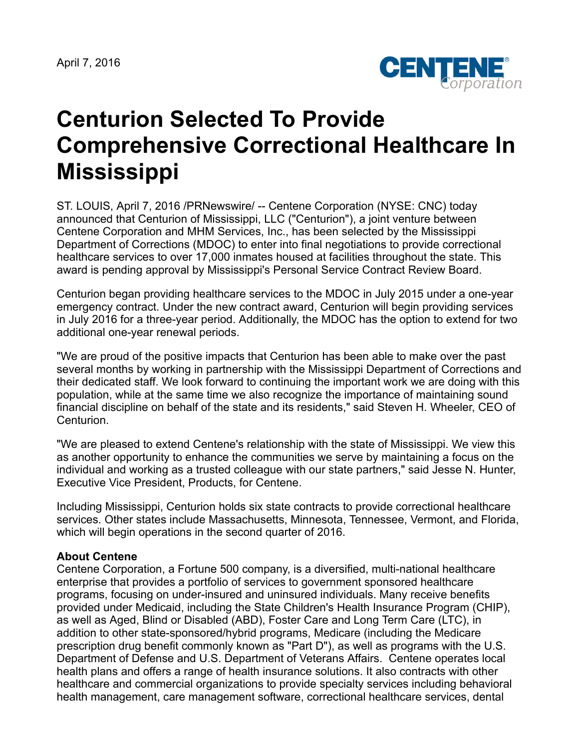April 7, 2016



## **Centurion Selected To Provide Comprehensive Correctional Healthcare In Mississippi**

ST. LOUIS, April 7, 2016 /PRNewswire/ -- Centene Corporation (NYSE: CNC) today announced that Centurion of Mississippi, LLC ("Centurion"), a joint venture between Centene Corporation and MHM Services, Inc., has been selected by the Mississippi Department of Corrections (MDOC) to enter into final negotiations to provide correctional healthcare services to over 17,000 inmates housed at facilities throughout the state. This award is pending approval by Mississippi's Personal Service Contract Review Board.

Centurion began providing healthcare services to the MDOC in July 2015 under a one-year emergency contract. Under the new contract award, Centurion will begin providing services in July 2016 for a three-year period. Additionally, the MDOC has the option to extend for two additional one-year renewal periods.

"We are proud of the positive impacts that Centurion has been able to make over the past several months by working in partnership with the Mississippi Department of Corrections and their dedicated staff. We look forward to continuing the important work we are doing with this population, while at the same time we also recognize the importance of maintaining sound financial discipline on behalf of the state and its residents," said Steven H. Wheeler, CEO of Centurion.

"We are pleased to extend Centene's relationship with the state of Mississippi. We view this as another opportunity to enhance the communities we serve by maintaining a focus on the individual and working as a trusted colleague with our state partners," said Jesse N. Hunter, Executive Vice President, Products, for Centene.

Including Mississippi, Centurion holds six state contracts to provide correctional healthcare services. Other states include Massachusetts, Minnesota, Tennessee, Vermont, and Florida, which will begin operations in the second quarter of 2016.

## **About Centene**

Centene Corporation, a Fortune 500 company, is a diversified, multi-national healthcare enterprise that provides a portfolio of services to government sponsored healthcare programs, focusing on under-insured and uninsured individuals. Many receive benefits provided under Medicaid, including the State Children's Health Insurance Program (CHIP), as well as Aged, Blind or Disabled (ABD), Foster Care and Long Term Care (LTC), in addition to other state-sponsored/hybrid programs, Medicare (including the Medicare prescription drug benefit commonly known as "Part D"), as well as programs with the U.S. Department of Defense and U.S. Department of Veterans Affairs. Centene operates local health plans and offers a range of health insurance solutions. It also contracts with other healthcare and commercial organizations to provide specialty services including behavioral health management, care management software, correctional healthcare services, dental